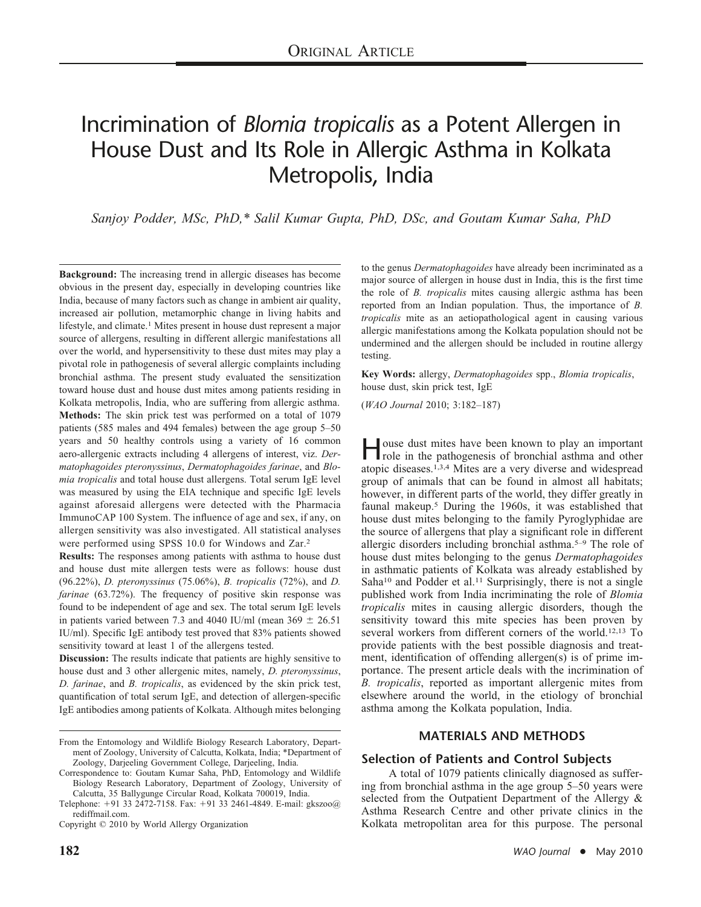# Incrimination of *Blomia tropicalis* as a Potent Allergen in House Dust and Its Role in Allergic Asthma in Kolkata Metropolis, India

*Sanjoy Podder, MSc, PhD,\* Salil Kumar Gupta, PhD, DSc, and Goutam Kumar Saha, PhD*

**Background:** The increasing trend in allergic diseases has become obvious in the present day, especially in developing countries like India, because of many factors such as change in ambient air quality, increased air pollution, metamorphic change in living habits and lifestyle, and climate.<sup>1</sup> Mites present in house dust represent a major source of allergens, resulting in different allergic manifestations all over the world, and hypersensitivity to these dust mites may play a pivotal role in pathogenesis of several allergic complaints including bronchial asthma. The present study evaluated the sensitization toward house dust and house dust mites among patients residing in Kolkata metropolis, India, who are suffering from allergic asthma. **Methods:** The skin prick test was performed on a total of 1079 patients (585 males and 494 females) between the age group 5–50 years and 50 healthy controls using a variety of 16 common aero-allergenic extracts including 4 allergens of interest, viz. *Dermatophagoides pteronyssinus*, *Dermatophagoides farinae*, and *Blomia tropicalis* and total house dust allergens. Total serum IgE level was measured by using the EIA technique and specific IgE levels against aforesaid allergens were detected with the Pharmacia ImmunoCAP 100 System. The influence of age and sex, if any, on allergen sensitivity was also investigated. All statistical analyses were performed using SPSS 10.0 for Windows and Zar.2

**Results:** The responses among patients with asthma to house dust and house dust mite allergen tests were as follows: house dust (96.22%), *D. pteronyssinus* (75.06%), *B. tropicalis* (72%), and *D. farinae* (63.72%). The frequency of positive skin response was found to be independent of age and sex. The total serum IgE levels in patients varied between 7.3 and 4040 IU/ml (mean  $369 \pm 26.51$ IU/ml). Specific IgE antibody test proved that 83% patients showed sensitivity toward at least 1 of the allergens tested.

**Discussion:** The results indicate that patients are highly sensitive to house dust and 3 other allergenic mites, namely, *D. pteronyssinus*, *D. farinae*, and *B. tropicalis*, as evidenced by the skin prick test, quantification of total serum IgE, and detection of allergen-specific IgE antibodies among patients of Kolkata. Although mites belonging to the genus *Dermatophagoides* have already been incriminated as a major source of allergen in house dust in India, this is the first time the role of *B. tropicalis* mites causing allergic asthma has been reported from an Indian population. Thus, the importance of *B. tropicalis* mite as an aetiopathological agent in causing various allergic manifestations among the Kolkata population should not be undermined and the allergen should be included in routine allergy testing.

**Key Words:** allergy, *Dermatophagoides* spp., *Blomia tropicalis*, house dust, skin prick test, IgE

(*WAO Journal* 2010; 3:182–187)

**House dust mites have been known to play an important**<br>role in the pathogenesis of bronchial asthma and other atopic diseases.1,3,4 Mites are a very diverse and widespread group of animals that can be found in almost all habitats; however, in different parts of the world, they differ greatly in faunal makeup.5 During the 1960s, it was established that house dust mites belonging to the family Pyroglyphidae are the source of allergens that play a significant role in different allergic disorders including bronchial asthma.5–9 The role of house dust mites belonging to the genus *Dermatophagoides* in asthmatic patients of Kolkata was already established by  $Saha<sup>10</sup>$  and Podder et al.<sup>11</sup> Surprisingly, there is not a single published work from India incriminating the role of *Blomia tropicalis* mites in causing allergic disorders, though the sensitivity toward this mite species has been proven by several workers from different corners of the world.12,13 To provide patients with the best possible diagnosis and treatment, identification of offending allergen(s) is of prime importance. The present article deals with the incrimination of *B. tropicalis*, reported as important allergenic mites from elsewhere around the world, in the etiology of bronchial asthma among the Kolkata population, India.

#### **MATERIALS AND METHODS**

#### **Selection of Patients and Control Subjects**

A total of 1079 patients clinically diagnosed as suffering from bronchial asthma in the age group 5–50 years were selected from the Outpatient Department of the Allergy & Asthma Research Centre and other private clinics in the Kolkata metropolitan area for this purpose. The personal

From the Entomology and Wildlife Biology Research Laboratory, Department of Zoology, University of Calcutta, Kolkata, India; \*Department of Zoology, Darjeeling Government College, Darjeeling, India.

Correspondence to: Goutam Kumar Saha, PhD, Entomology and Wildlife Biology Research Laboratory, Department of Zoology, University of Calcutta, 35 Ballygunge Circular Road, Kolkata 700019, India.

Telephone: +91 33 2472-7158. Fax: +91 33 2461-4849. E-mail: gkszoo@ rediffmail.com.

Copyright © 2010 by World Allergy Organization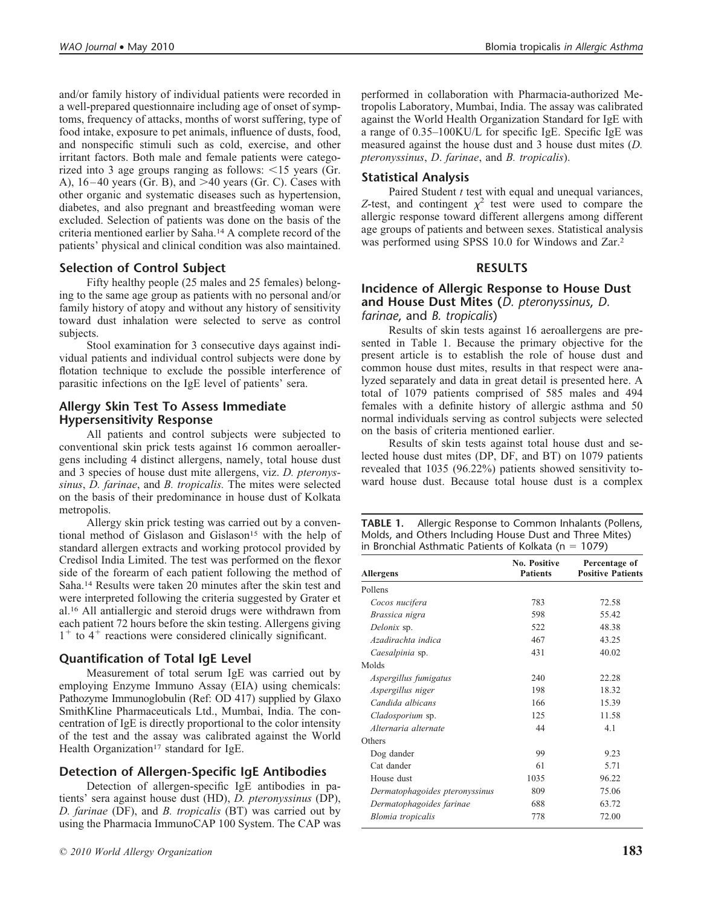and/or family history of individual patients were recorded in a well-prepared questionnaire including age of onset of symptoms, frequency of attacks, months of worst suffering, type of food intake, exposure to pet animals, influence of dusts, food, and nonspecific stimuli such as cold, exercise, and other irritant factors. Both male and female patients were categorized into 3 age groups ranging as follows:  $\leq 15$  years (Gr. A),  $16-40$  years (Gr. B), and  $>40$  years (Gr. C). Cases with other organic and systematic diseases such as hypertension, diabetes, and also pregnant and breastfeeding woman were excluded. Selection of patients was done on the basis of the criteria mentioned earlier by Saha.14 A complete record of the patients' physical and clinical condition was also maintained.

#### **Selection of Control Subject**

Fifty healthy people (25 males and 25 females) belonging to the same age group as patients with no personal and/or family history of atopy and without any history of sensitivity toward dust inhalation were selected to serve as control subjects.

Stool examination for 3 consecutive days against individual patients and individual control subjects were done by flotation technique to exclude the possible interference of parasitic infections on the IgE level of patients' sera.

#### **Allergy Skin Test To Assess Immediate Hypersensitivity Response**

All patients and control subjects were subjected to conventional skin prick tests against 16 common aeroallergens including 4 distinct allergens, namely, total house dust and 3 species of house dust mite allergens, viz. *D. pteronyssinus*, *D. farinae*, and *B. tropicalis.* The mites were selected on the basis of their predominance in house dust of Kolkata metropolis.

Allergy skin prick testing was carried out by a conventional method of Gislason and Gislason<sup>15</sup> with the help of standard allergen extracts and working protocol provided by Credisol India Limited. The test was performed on the flexor side of the forearm of each patient following the method of Saha.14 Results were taken 20 minutes after the skin test and were interpreted following the criteria suggested by Grater et al.16 All antiallergic and steroid drugs were withdrawn from each patient 72 hours before the skin testing. Allergens giving  $1^+$  to  $4^+$  reactions were considered clinically significant.

# **Quantification of Total IgE Level**

Measurement of total serum IgE was carried out by employing Enzyme Immuno Assay (EIA) using chemicals: Pathozyme Immunoglobulin (Ref: OD 417) supplied by Glaxo SmithKline Pharmaceuticals Ltd., Mumbai, India. The concentration of IgE is directly proportional to the color intensity of the test and the assay was calibrated against the World Health Organization<sup>17</sup> standard for IgE.

# **Detection of Allergen-Specific IgE Antibodies**

Detection of allergen-specific IgE antibodies in patients' sera against house dust (HD), *D. pteronyssinus* (DP), *D. farinae* (DF), and *B. tropicalis* (BT) was carried out by using the Pharmacia ImmunoCAP 100 System. The CAP was performed in collaboration with Pharmacia-authorized Metropolis Laboratory, Mumbai, India. The assay was calibrated against the World Health Organization Standard for IgE with a range of 0.35–100KU/L for specific IgE. Specific IgE was measured against the house dust and 3 house dust mites (*D. pteronyssinus*, *D*. *farinae*, and *B. tropicalis*).

#### **Statistical Analysis**

Paired Student *t* test with equal and unequal variances, Z-test, and contingent  $\chi^2$  test were used to compare the allergic response toward different allergens among different age groups of patients and between sexes. Statistical analysis was performed using SPSS 10.0 for Windows and Zar.2

#### **RESULTS**

#### **Incidence of Allergic Response to House Dust and House Dust Mites (***D. pteronyssinus*, *D. farinae*, and *B. tropicalis*)

Results of skin tests against 16 aeroallergens are presented in Table 1. Because the primary objective for the present article is to establish the role of house dust and common house dust mites, results in that respect were analyzed separately and data in great detail is presented here. A total of 1079 patients comprised of 585 males and 494 females with a definite history of allergic asthma and 50 normal individuals serving as control subjects were selected on the basis of criteria mentioned earlier.

Results of skin tests against total house dust and selected house dust mites (DP, DF, and BT) on 1079 patients revealed that 1035 (96.22%) patients showed sensitivity toward house dust. Because total house dust is a complex

| TABLE 1. | Allergic Response to Common Inhalants (Pollens,           |
|----------|-----------------------------------------------------------|
|          | Molds, and Others Including House Dust and Three Mites)   |
|          | in Bronchial Asthmatic Patients of Kolkata ( $n = 1079$ ) |

| <b>Allergens</b>               | No. Positive<br><b>Patients</b> | Percentage of<br><b>Positive Patients</b> |
|--------------------------------|---------------------------------|-------------------------------------------|
| Pollens                        |                                 |                                           |
| Cocos nucifera                 | 783                             | 72.58                                     |
| Brassica nigra                 | 598                             | 55.42                                     |
| Delonix sp.                    | 522                             | 48.38                                     |
| Azadirachta indica             | 467                             | 43.25                                     |
| Caesalpinia sp.                | 431                             | 40.02                                     |
| Molds                          |                                 |                                           |
| Aspergillus fumigatus          | 240                             | 22.28                                     |
| Aspergillus niger              | 198                             | 18.32                                     |
| Candida albicans               | 166                             | 15.39                                     |
| Cladosporium sp.               | 125                             | 11.58                                     |
| Alternaria alternate           | 44                              | 4.1                                       |
| Others                         |                                 |                                           |
| Dog dander                     | 99                              | 9.23                                      |
| Cat dander                     | 61                              | 5.71                                      |
| House dust                     | 1035                            | 96.22                                     |
| Dermatophagoides pteronyssinus | 809                             | 75.06                                     |
| Dermatophagoides farinae       | 688                             | 63.72                                     |
| Blomia tropicalis              | 778                             | 72.00                                     |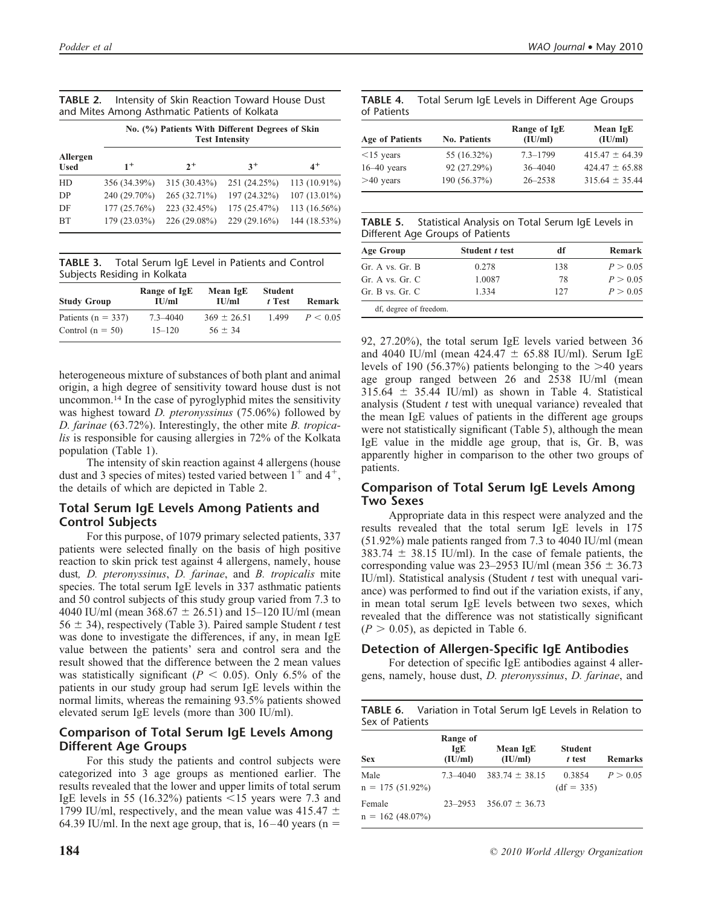| <b>TABLE 2.</b> Intensity of Skin Reaction Toward House Dust |
|--------------------------------------------------------------|
| and Mites Among Asthmatic Patients of Kolkata                |

|                         | No. (%) Patients With Different Degrees of Skin<br><b>Test Intensity</b> |              |              |              |  |  |
|-------------------------|--------------------------------------------------------------------------|--------------|--------------|--------------|--|--|
| Allergen<br><b>Used</b> | $1^+$                                                                    | $2^+$        | $3^+$        | $4^+$        |  |  |
| HD                      | 356 (34.39%)                                                             | 315 (30.43%) | 251 (24.25%) | 113 (10.91%) |  |  |
| D <sub>P</sub>          | 240 (29.70%)                                                             | 265 (32.71%) | 197 (24.32%) | 107 (13.01%) |  |  |
| DF                      | 177(25.76%)                                                              | 223 (32.45%) | 175 (25.47%) | 113 (16.56%) |  |  |
| <b>BT</b>               | 179 (23.03%)                                                             | 226 (29.08%) | 229 (29.16%) | 144 (18.53%) |  |  |

**TABLE 3.** Total Serum IgE Level in Patients and Control Subjects Residing in Kolkata

| <b>Study Group</b>     | Range of IgE<br>IU/ml | Mean IgE<br>$\mathbf{H}$ $\mathbf{I}$ | <b>Student</b><br>t Test | Remark   |
|------------------------|-----------------------|---------------------------------------|--------------------------|----------|
| Patients ( $n = 337$ ) | $7.3 - 4040$          | $369 \pm 26.51$                       | 1.499                    | P < 0.05 |
| Control $(n = 50)$     | $15 - 120$            | $56 \pm 34$                           |                          |          |

heterogeneous mixture of substances of both plant and animal origin, a high degree of sensitivity toward house dust is not uncommon.14 In the case of pyroglyphid mites the sensitivity was highest toward *D. pteronyssinus* (75.06%) followed by *D. farinae* (63.72%). Interestingly, the other mite *B. tropicalis* is responsible for causing allergies in 72% of the Kolkata population (Table 1).

The intensity of skin reaction against 4 allergens (house dust and 3 species of mites) tested varied between  $1^+$  and  $4^+$ , the details of which are depicted in Table 2.

#### **Total Serum IgE Levels Among Patients and Control Subjects**

For this purpose, of 1079 primary selected patients, 337 patients were selected finally on the basis of high positive reaction to skin prick test against 4 allergens, namely, house dust*, D. pteronyssinus*, *D. farinae*, and *B. tropicalis* mite species. The total serum IgE levels in 337 asthmatic patients and 50 control subjects of this study group varied from 7.3 to 4040 IU/ml (mean  $368.67 \pm 26.51$ ) and  $15-120$  IU/ml (mean  $56 \pm 34$ ), respectively (Table 3). Paired sample Student *t* test was done to investigate the differences, if any, in mean IgE value between the patients' sera and control sera and the result showed that the difference between the 2 mean values was statistically significant ( $P < 0.05$ ). Only 6.5% of the patients in our study group had serum IgE levels within the normal limits, whereas the remaining 93.5% patients showed elevated serum IgE levels (more than 300 IU/ml).

#### **Comparison of Total Serum IgE Levels Among Different Age Groups**

For this study the patients and control subjects were categorized into 3 age groups as mentioned earlier. The results revealed that the lower and upper limits of total serum IgE levels in 55 (16.32%) patients  $\le$ 15 years were 7.3 and 1799 IU/ml, respectively, and the mean value was  $415.47 \pm$ 64.39 IU/ml. In the next age group, that is,  $16-40$  years (n =

|             | <b>TABLE 4.</b> Total Serum IgE Levels in Different Age Groups |
|-------------|----------------------------------------------------------------|
| of Patients |                                                                |

| <b>Age of Patients</b> | <b>No. Patients</b> | Range of IgE<br>(IU/ml) | Mean IgE<br>(IU/ml) |
|------------------------|---------------------|-------------------------|---------------------|
| $\leq$ 15 years        | 55 (16.32%)         | $7.3 - 1799$            | $415.47 \pm 64.39$  |
| $16-40$ years          | 92 (27.29%)         | $36 - 4040$             | $424.47 \pm 65.88$  |
| $>40$ years            | 190 (56.37%)        | $26 - 2538$             | $315.64 \pm 35.44$  |

**TABLE 5.** Statistical Analysis on Total Serum IgE Levels in Different Age Groups of Patients

| <b>Age Group</b>       | Student t test | df  | Remark   |  |
|------------------------|----------------|-----|----------|--|
| Gr. A vs. Gr. B        | 0.278          | 138 | P > 0.05 |  |
| Gr. A vs. Gr. C        | 1.0087         | 78  | P > 0.05 |  |
| Gr. B vs. Gr. C        | 1.334          | 127 | P > 0.05 |  |
| df, degree of freedom. |                |     |          |  |

92, 27.20%), the total serum IgE levels varied between 36 and 4040 IU/ml (mean  $424.47 \pm 65.88$  IU/ml). Serum IgE levels of 190 (56.37%) patients belonging to the  $>40$  years age group ranged between 26 and 2538 IU/ml (mean  $315.64 \pm 35.44$  IU/ml) as shown in Table 4. Statistical analysis (Student *t* test with unequal variance) revealed that the mean IgE values of patients in the different age groups were not statistically significant (Table 5), although the mean IgE value in the middle age group, that is, Gr. B, was apparently higher in comparison to the other two groups of patients.

# **Comparison of Total Serum IgE Levels Among Two Sexes**

Appropriate data in this respect were analyzed and the results revealed that the total serum IgE levels in 175 (51.92%) male patients ranged from 7.3 to 4040 IU/ml (mean  $383.74 \pm 38.15$  IU/ml). In the case of female patients, the corresponding value was  $23-2953$  IU/ml (mean  $356 \pm 36.73$ IU/ml). Statistical analysis (Student *t* test with unequal variance) was performed to find out if the variation exists, if any, in mean total serum IgE levels between two sexes, which revealed that the difference was not statistically significant  $(P > 0.05)$ , as depicted in Table 6.

# **Detection of Allergen-Specific IgE Antibodies**

For detection of specific IgE antibodies against 4 allergens, namely, house dust, *D. pteronyssinus*, *D. farinae*, and

**TABLE 6.** Variation in Total Serum IgE Levels in Relation to

| Sex of Patients              |                            |                     |                          |                |
|------------------------------|----------------------------|---------------------|--------------------------|----------------|
| <b>Sex</b>                   | Range of<br>IgE<br>(IU/ml) | Mean IgE<br>(IU/ml) | <b>Student</b><br>t test | <b>Remarks</b> |
| Male<br>$n = 175(51.92\%)$   | $7.3 - 4040$               | $383.74 \pm 38.15$  | 0.3854<br>$(df = 335)$   | P > 0.05       |
| Female<br>$n = 162(48.07\%)$ | $23 - 2953$                | $356.07 \pm 36.73$  |                          |                |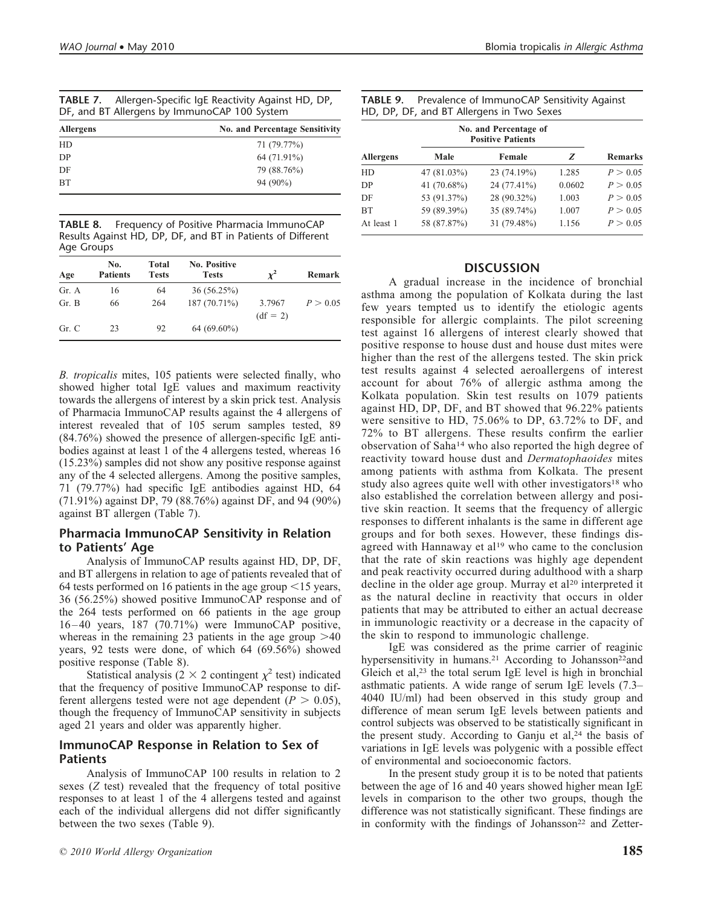| <b>TABLE 7.</b> Allergen-Specific IgE Reactivity Against HD, DP, |
|------------------------------------------------------------------|
| DF, and BT Allergens by ImmunoCAP 100 System                     |

| <b>No. and Percentage Sensitivity</b> |
|---------------------------------------|
| 71 (79.77%)                           |
| 64 (71.91%)                           |
| 79 (88.76%)                           |
| $94(90\%)$                            |
|                                       |

**TABLE 8.** Frequency of Positive Pharmacia ImmunoCAP Results Against HD, DP, DF, and BT in Patients of Different Age Groups

| Age   | No.<br><b>Patients</b> | Total<br><b>Tests</b> | <b>No. Positive</b><br><b>Tests</b> | v                    | Remark   |
|-------|------------------------|-----------------------|-------------------------------------|----------------------|----------|
| Gr. A | 16                     | 64                    | 36(56.25%)                          |                      |          |
| Gr. B | 66                     | 264                   | 187 (70.71%)                        | 3.7967<br>$(df = 2)$ | P > 0.05 |
| Gr. C | 23                     | 92                    | $64(69.60\%)$                       |                      |          |

*B. tropicalis* mites, 105 patients were selected finally, who showed higher total IgE values and maximum reactivity towards the allergens of interest by a skin prick test. Analysis of Pharmacia ImmunoCAP results against the 4 allergens of interest revealed that of 105 serum samples tested, 89 (84.76%) showed the presence of allergen-specific IgE antibodies against at least 1 of the 4 allergens tested, whereas 16 (15.23%) samples did not show any positive response against any of the 4 selected allergens. Among the positive samples, 71 (79.77%) had specific IgE antibodies against HD, 64 (71.91%) against DP, 79 (88.76%) against DF, and 94 (90%) against BT allergen (Table 7).

#### **Pharmacia ImmunoCAP Sensitivity in Relation to Patients' Age**

Analysis of ImmunoCAP results against HD, DP, DF, and BT allergens in relation to age of patients revealed that of 64 tests performed on 16 patients in the age group  $\leq$  15 years, 36 (56.25%) showed positive ImmunoCAP response and of the 264 tests performed on 66 patients in the age group 16 – 40 years, 187 (70.71%) were ImmunoCAP positive, whereas in the remaining 23 patients in the age group  $>40$ years, 92 tests were done, of which 64 (69.56%) showed positive response (Table 8).

Statistical analysis ( $2 \times 2$  contingent  $\chi^2$  test) indicated that the frequency of positive ImmunoCAP response to different allergens tested were not age dependent ( $P > 0.05$ ), though the frequency of ImmunoCAP sensitivity in subjects aged 21 years and older was apparently higher.

#### **ImmunoCAP Response in Relation to Sex of Patients**

Analysis of ImmunoCAP 100 results in relation to 2 sexes (*Z* test) revealed that the frequency of total positive responses to at least 1 of the 4 allergens tested and against each of the individual allergens did not differ significantly between the two sexes (Table 9).

| <b>Allergens</b> | No. and Percentage of<br><b>Positive Patients</b> |             |        |                |
|------------------|---------------------------------------------------|-------------|--------|----------------|
|                  | Male                                              | Female      | z      | <b>Remarks</b> |
| HD               | 47 (81.03%)                                       | 23 (74.19%) | 1.285  | P > 0.05       |
| DP               | 41 (70.68%)                                       | 24 (77.41%) | 0.0602 | P > 0.05       |
| DF               | 53 (91.37%)                                       | 28 (90.32%) | 1.003  | P > 0.05       |
| <b>BT</b>        | 59 (89.39%)                                       | 35 (89.74%) | 1.007  | P > 0.05       |
| At least 1       | 58 (87.87%)                                       | 31 (79.48%) | 1.156  | P > 0.05       |

#### **DISCUSSION**

A gradual increase in the incidence of bronchial asthma among the population of Kolkata during the last few years tempted us to identify the etiologic agents responsible for allergic complaints. The pilot screening test against 16 allergens of interest clearly showed that positive response to house dust and house dust mites were higher than the rest of the allergens tested. The skin prick test results against 4 selected aeroallergens of interest account for about 76% of allergic asthma among the Kolkata population. Skin test results on 1079 patients against HD, DP, DF, and BT showed that 96.22% patients were sensitive to HD, 75.06% to DP, 63.72% to DF, and 72% to BT allergens. These results confirm the earlier observation of Saha14 who also reported the high degree of reactivity toward house dust and *Dermatophaoides* mites among patients with asthma from Kolkata. The present study also agrees quite well with other investigators<sup>18</sup> who also established the correlation between allergy and positive skin reaction. It seems that the frequency of allergic responses to different inhalants is the same in different age groups and for both sexes. However, these findings disagreed with Hannaway et al<sup>19</sup> who came to the conclusion that the rate of skin reactions was highly age dependent and peak reactivity occurred during adulthood with a sharp decline in the older age group. Murray et al<sup>20</sup> interpreted it as the natural decline in reactivity that occurs in older patients that may be attributed to either an actual decrease in immunologic reactivity or a decrease in the capacity of the skin to respond to immunologic challenge.

IgE was considered as the prime carrier of reaginic hypersensitivity in humans.<sup>21</sup> According to Johansson<sup>22</sup>and Gleich et al, $23$  the total serum IgE level is high in bronchial asthmatic patients. A wide range of serum IgE levels (7.3– 4040 IU/ml) had been observed in this study group and difference of mean serum IgE levels between patients and control subjects was observed to be statistically significant in the present study. According to Ganju et al,<sup>24</sup> the basis of variations in IgE levels was polygenic with a possible effect of environmental and socioeconomic factors.

In the present study group it is to be noted that patients between the age of 16 and 40 years showed higher mean IgE levels in comparison to the other two groups, though the difference was not statistically significant. These findings are in conformity with the findings of Johansson<sup>22</sup> and Zetter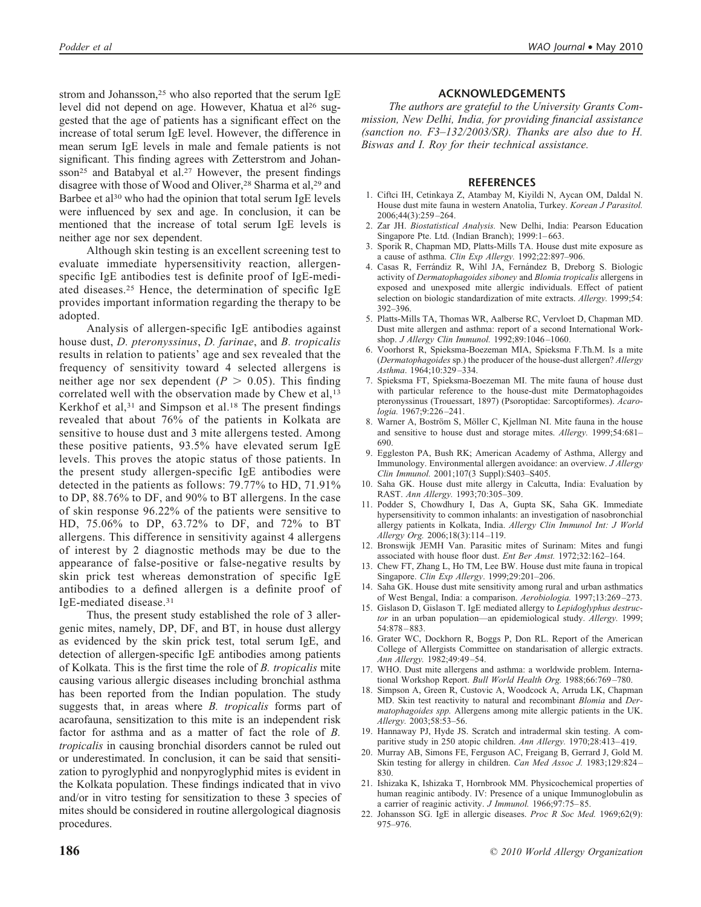strom and Johansson,<sup>25</sup> who also reported that the serum IgE level did not depend on age. However, Khatua et al<sup>26</sup> suggested that the age of patients has a significant effect on the increase of total serum IgE level. However, the difference in mean serum IgE levels in male and female patients is not significant. This finding agrees with Zetterstrom and Johansson<sup>25</sup> and Batabyal et al.<sup>27</sup> However, the present findings disagree with those of Wood and Oliver,<sup>28</sup> Sharma et al,<sup>29</sup> and Barbee et al<sup>30</sup> who had the opinion that total serum IgE levels were influenced by sex and age. In conclusion, it can be mentioned that the increase of total serum IgE levels is neither age nor sex dependent.

Although skin testing is an excellent screening test to evaluate immediate hypersensitivity reaction, allergenspecific IgE antibodies test is definite proof of IgE-mediated diseases.25 Hence, the determination of specific IgE provides important information regarding the therapy to be adopted.

Analysis of allergen-specific IgE antibodies against house dust, *D. pteronyssinus*, *D. farinae*, and *B. tropicalis* results in relation to patients' age and sex revealed that the frequency of sensitivity toward 4 selected allergens is neither age nor sex dependent ( $P > 0.05$ ). This finding correlated well with the observation made by Chew et al,<sup>13</sup> Kerkhof et al,  $31$  and Simpson et al.<sup>18</sup> The present findings revealed that about 76% of the patients in Kolkata are sensitive to house dust and 3 mite allergens tested. Among these positive patients, 93.5% have elevated serum IgE levels. This proves the atopic status of those patients. In the present study allergen-specific IgE antibodies were detected in the patients as follows: 79.77% to HD, 71.91% to DP, 88.76% to DF, and 90% to BT allergens. In the case of skin response 96.22% of the patients were sensitive to HD, 75.06% to DP, 63.72% to DF, and 72% to BT allergens. This difference in sensitivity against 4 allergens of interest by 2 diagnostic methods may be due to the appearance of false-positive or false-negative results by skin prick test whereas demonstration of specific IgE antibodies to a defined allergen is a definite proof of IgE-mediated disease.31

Thus, the present study established the role of 3 allergenic mites, namely, DP, DF, and BT, in house dust allergy as evidenced by the skin prick test, total serum IgE, and detection of allergen-specific IgE antibodies among patients of Kolkata. This is the first time the role of *B. tropicalis* mite causing various allergic diseases including bronchial asthma has been reported from the Indian population. The study suggests that, in areas where *B. tropicalis* forms part of acarofauna, sensitization to this mite is an independent risk factor for asthma and as a matter of fact the role of *B. tropicalis* in causing bronchial disorders cannot be ruled out or underestimated. In conclusion, it can be said that sensitization to pyroglyphid and nonpyroglyphid mites is evident in the Kolkata population. These findings indicated that in vivo and/or in vitro testing for sensitization to these 3 species of mites should be considered in routine allergological diagnosis procedures.

#### **ACKNOWLEDGEMENTS**

*The authors are grateful to the University Grants Commission, New Delhi, India, for providing financial assistance (sanction no. F3–132/2003/SR). Thanks are also due to H. Biswas and I. Roy for their technical assistance.*

#### **REFERENCES**

- 1. Ciftci IH, Cetinkaya Z, Atambay M, Kiyildi N, Aycan OM, Daldal N. House dust mite fauna in western Anatolia, Turkey. *Korean J Parasitol.* 2006;44(3):259 –264.
- 2. Zar JH. *Biostatistical Analysis.* New Delhi, India: Pearson Education Singapore Pte. Ltd. (Indian Branch); 1999:1-663.
- 3. Sporik R, Chapman MD, Platts-Mills TA. House dust mite exposure as a cause of asthma. *Clin Exp Allergy.* 1992;22:897–906.
- 4. Casas R, Ferrándiz R, Wihl JA, Fernández B, Dreborg S. Biologic activity of *Dermatophagoides siboney* and *Blomia tropicalis* allergens in exposed and unexposed mite allergic individuals. Effect of patient selection on biologic standardization of mite extracts. *Allergy.* 1999;54: 392–396.
- 5. Platts-Mills TA, Thomas WR, Aalberse RC, Vervloet D, Chapman MD. Dust mite allergen and asthma: report of a second International Workshop. *J Allergy Clin Immunol.* 1992;89:1046 –1060.
- 6. Voorhorst R, Spieksma-Boezeman MIA, Spieksma F.Th.M. Is a mite (*Dermatophagoides* sp.) the producer of the house-dust allergen? *Allergy Asthma*. 1964;10:329 –334.
- 7. Spieksma FT, Spieksma-Boezeman MI. The mite fauna of house dust with particular reference to the house-dust mite Dermatophagoides pteronyssinus (Trouessart, 1897) (Psoroptidae: Sarcoptiformes). *Acarologia.* 1967;9:226 –241.
- 8. Warner A, Boström S, Möller C, Kjellman NI. Mite fauna in the house and sensitive to house dust and storage mites. *Allergy.* 1999;54:681– 690.
- 9. Eggleston PA, Bush RK; American Academy of Asthma, Allergy and Immunology. Environmental allergen avoidance: an overview. *J Allergy Clin Immunol.* 2001;107(3 Suppl):S403–S405.
- 10. Saha GK. House dust mite allergy in Calcutta, India: Evaluation by RAST. *Ann Allergy.* 1993;70:305–309.
- 11. Podder S, Chowdhury I, Das A, Gupta SK, Saha GK. Immediate hypersensitivity to common inhalants: an investigation of nasobronchial allergy patients in Kolkata, India. *Allergy Clin Immunol Int: J World Allergy Org.* 2006;18(3):114 –119.
- 12. Bronswijk JEMH Van. Parasitic mites of Surinam: Mites and fungi associated with house floor dust. *Ent Ber Amst.* 1972;32:162–164.
- 13. Chew FT, Zhang L, Ho TM, Lee BW. House dust mite fauna in tropical Singapore. *Clin Exp Allergy*. 1999;29:201–206.
- 14. Saha GK. House dust mite sensitivity among rural and urban asthmatics of West Bengal, India: a comparison. *Aerobiologia.* 1997;13:269 –273.
- 15. Gislason D, Gislason T. IgE mediated allergy to *Lepidoglyphus destructor* in an urban population—an epidemiological study. *Allergy.* 1999; 54:878 – 883.
- 16. Grater WC, Dockhorn R, Boggs P, Don RL. Report of the American College of Allergists Committee on standarisation of allergic extracts. *Ann Allergy.* 1982;49:49 –54.
- 17. WHO. Dust mite allergens and asthma: a worldwide problem. International Workshop Report. *Bull World Health Org.* 1988;66:769 –780.
- 18. Simpson A, Green R, Custovic A, Woodcock A, Arruda LK, Chapman MD. Skin test reactivity to natural and recombinant *Blomia* and *Dermatophagoides spp.* Allergens among mite allergic patients in the UK. *Allergy.* 2003;58:53–56.
- 19. Hannaway PJ, Hyde JS. Scratch and intradermal skin testing. A comparitive study in 250 atopic children. *Ann Allergy.* 1970;28:413–419.
- 20. Murray AB, Simons FE, Ferguson AC, Freigang B, Gerrard J, Gold M. Skin testing for allergy in children. *Can Med Assoc J.* 1983;129:824 – 830.
- 21. Ishizaka K, Ishizaka T, Hornbrook MM. Physicochemical properties of human reaginic antibody. IV: Presence of a unique Immunoglobulin as a carrier of reaginic activity. *J Immunol.* 1966;97:75– 85.
- 22. Johansson SG. IgE in allergic diseases. *Proc R Soc Med.* 1969;62(9): 975–976.